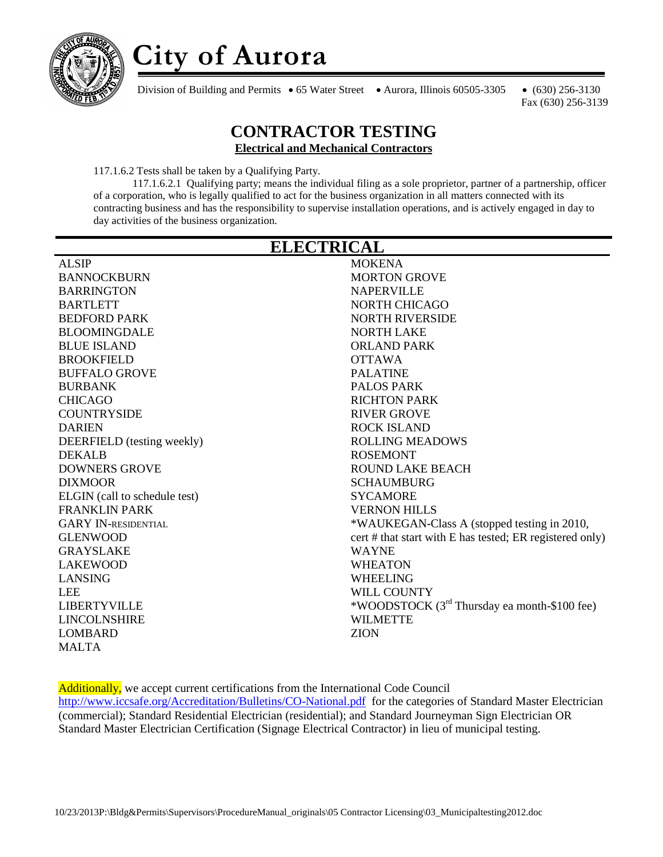

# **City of Aurora**

Division of Building and Permits • 65 Water Street • Aurora, Illinois 60505-3305 • (630) 256-3130

Fax (630) 256-3139

#### **CONTRACTOR TESTING Electrical and Mechanical Contractors**

117.1.6.2 Tests shall be taken by a Qualifying Party.

117.1.6.2.1 Qualifying party; means the individual filing as a sole proprietor, partner of a partnership, officer of a corporation, who is legally qualified to act for the business organization in all matters connected with its contracting business and has the responsibility to supervise installation operations, and is actively engaged in day to day activities of the business organization.

| <b>ELECTRICAL</b>             |                                                          |
|-------------------------------|----------------------------------------------------------|
| <b>ALSIP</b>                  | <b>MOKENA</b>                                            |
| <b>BANNOCKBURN</b>            | <b>MORTON GROVE</b>                                      |
| <b>BARRINGTON</b>             | <b>NAPERVILLE</b>                                        |
| <b>BARTLETT</b>               | <b>NORTH CHICAGO</b>                                     |
| <b>BEDFORD PARK</b>           | NORTH RIVERSIDE                                          |
| <b>BLOOMINGDALE</b>           | <b>NORTH LAKE</b>                                        |
| <b>BLUE ISLAND</b>            | <b>ORLAND PARK</b>                                       |
| <b>BROOKFIELD</b>             | <b>OTTAWA</b>                                            |
| <b>BUFFALO GROVE</b>          | <b>PALATINE</b>                                          |
| <b>BURBANK</b>                | <b>PALOS PARK</b>                                        |
| <b>CHICAGO</b>                | <b>RICHTON PARK</b>                                      |
| <b>COUNTRYSIDE</b>            | <b>RIVER GROVE</b>                                       |
| <b>DARIEN</b>                 | <b>ROCK ISLAND</b>                                       |
| DEERFIELD (testing weekly)    | <b>ROLLING MEADOWS</b>                                   |
| <b>DEKALB</b>                 | <b>ROSEMONT</b>                                          |
| <b>DOWNERS GROVE</b>          | <b>ROUND LAKE BEACH</b>                                  |
| <b>DIXMOOR</b>                | <b>SCHAUMBURG</b>                                        |
| ELGIN (call to schedule test) | <b>SYCAMORE</b>                                          |
| <b>FRANKLIN PARK</b>          | <b>VERNON HILLS</b>                                      |
| <b>GARY IN-RESIDENTIAL</b>    | *WAUKEGAN-Class A (stopped testing in 2010,              |
| <b>GLENWOOD</b>               | cert # that start with E has tested; ER registered only) |
| <b>GRAYSLAKE</b>              | <b>WAYNE</b>                                             |
| <b>LAKEWOOD</b>               | <b>WHEATON</b>                                           |
| <b>LANSING</b>                | <b>WHEELING</b>                                          |
| <b>LEE</b>                    | WILL COUNTY                                              |
| <b>LIBERTYVILLE</b>           | *WOODSTOCK (3 <sup>rd</sup> Thursday ea month-\$100 fee) |
| <b>LINCOLNSHIRE</b>           | <b>WILMETTE</b>                                          |
| <b>LOMBARD</b>                | <b>ZION</b>                                              |
| <b>MALTA</b>                  |                                                          |

Additionally, we accept current certifications from the International Code Council <http://www.iccsafe.org/Accreditation/Bulletins/CO-National.pdf>for the categories of Standard Master Electrician (commercial); Standard Residential Electrician (residential); and Standard Journeyman Sign Electrician OR Standard Master Electrician Certification (Signage Electrical Contractor) in lieu of municipal testing.